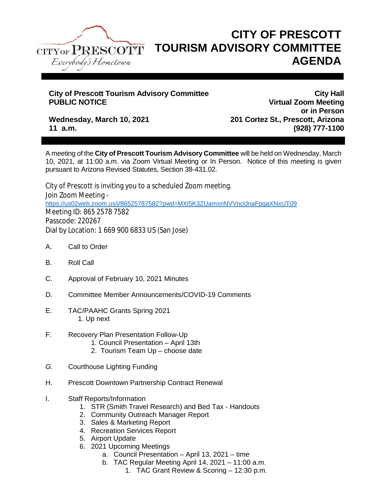

## **CITY OF PRESCOTT TOURISM ADVISORY COMMITTEE AGENDA**

## **City of Prescott Tourism Advisory Committee City Hall**

**Virtual Zoom Meeting or in Person Wednesday, March 10, 2021 201 Cortez St., Prescott, Arizona 11 a.m. (928) 777-1100**

A meeting of the **City of Prescott Tourism Advisory Committee** will be held on Wednesday, March 10, 2021, at 11:00 a.m. via Zoom Virtual Meeting or In Person. Notice of this meeting is given pursuant to Arizona Revised Statutes, Section 38-431.02.

City of Prescott is inviting you to a scheduled Zoom meeting. Join Zoom Meeting <https://us02web.zoom.us/j/86525787582?pwd=MXl5K3ZUamxnNVVnclJnaFpqaXNxUT09> Meeting ID: 865 2578 7582 Passcode: 220267 Dial by Location: 1 669 900 6833 US (San Jose)

- A. Call to Order
- B. Roll Call
- C. Approval of February 10, 2021 Minutes
- D. Committee Member Announcements/COVID-19 Comments
- E. TAC/PAAHC Grants Spring 2021 1. Up next
- F. Recovery Plan Presentation Follow-Up
	- 1. Council Presentation April 13th
	- 2. Tourism Team Up choose date
- *G.* Courthouse Lighting Funding
- H. Prescott Downtown Partnership Contract Renewal
- I. Staff Reports/Information
	- 1. STR (Smith Travel Research) and Bed Tax Handouts
	- 2. Community Outreach Manager Report
	- 3. Sales & Marketing Report
	- 4. Recreation Services Report
	- 5. Airport Update
	- 6. 2021 Upcoming Meetings
		- a. Council Presentation April 13, 2021 time
		- b. TAC Regular Meeting April 14, 2021 11:00 a.m.
			- 1. TAC Grant Review & Scoring 12:30 p.m.